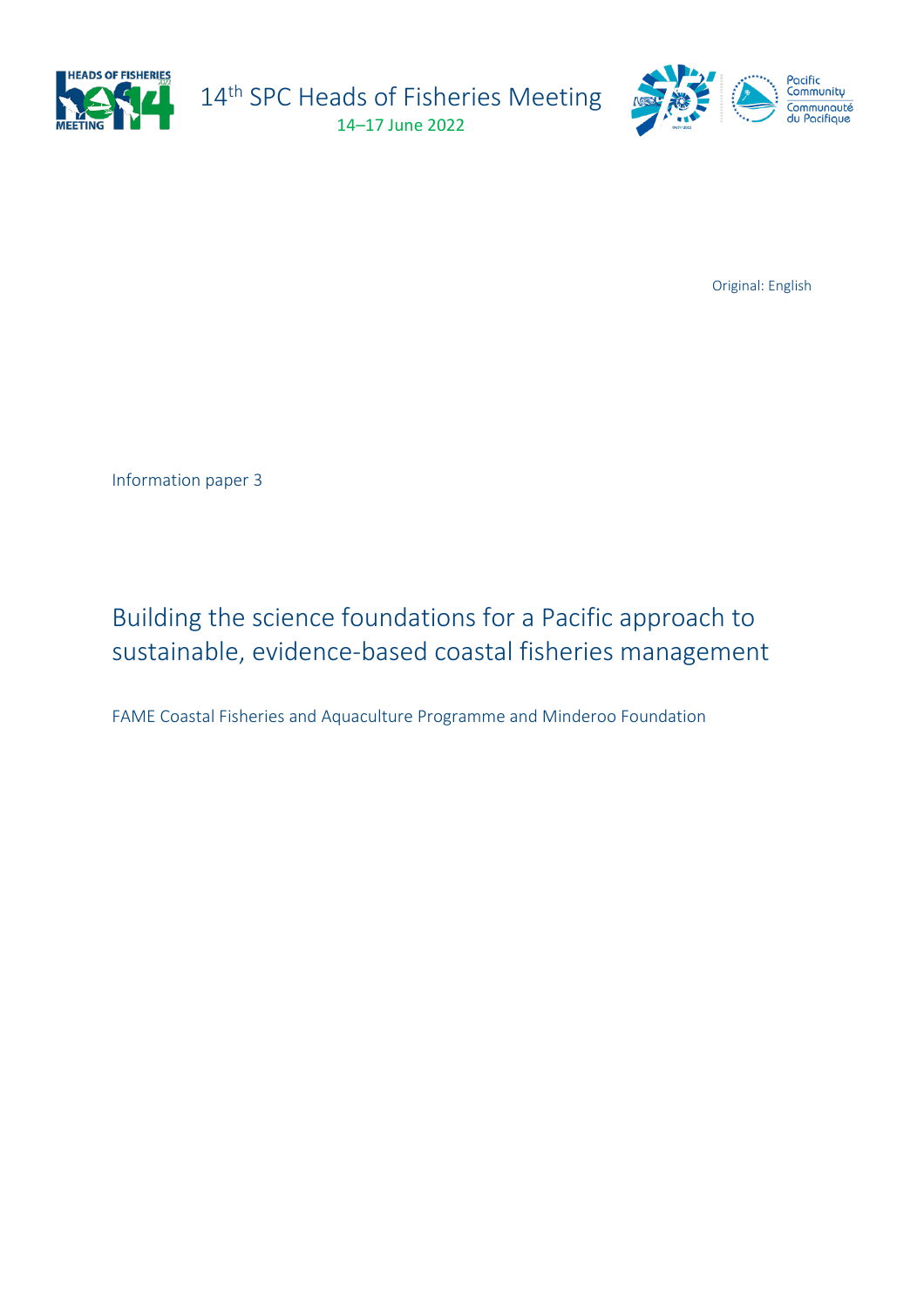

14<sup>th</sup> SPC Heads of Fisheries Meeting 14–17 June 2022



Original: English

Information paper 3

# Building the science foundations for a Pacific approach to sustainable, evidence-based coastal fisheries management

FAME Coastal Fisheries and Aquaculture Programme and Minderoo Foundation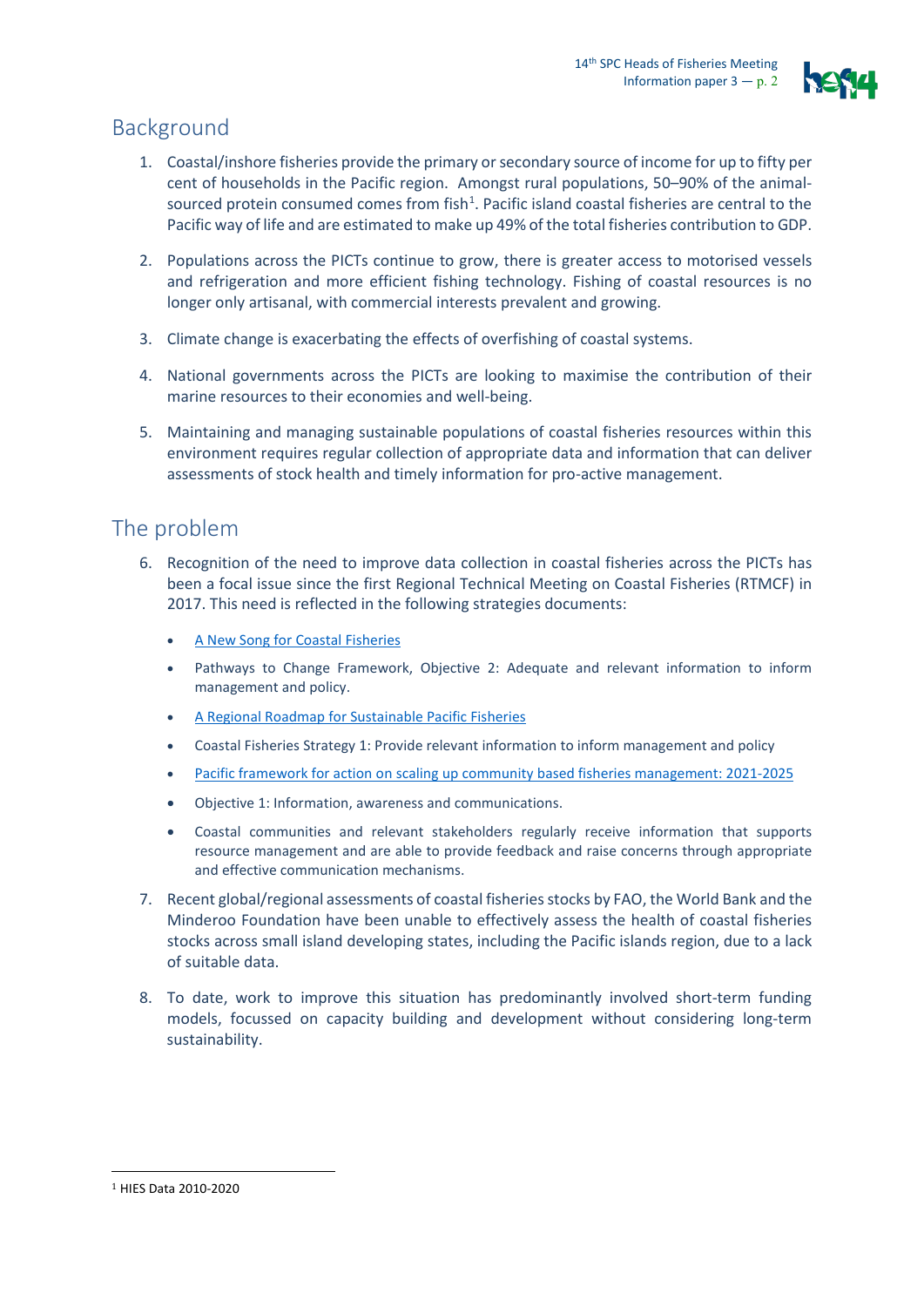

### Background

- 1. Coastal/inshore fisheries provide the primary or secondary source of income for up to fifty per cent of households in the Pacific region. Amongst rural populations, 50–90% of the animal-sourced protein consumed comes from fish<sup>[1](#page-1-0)</sup>. Pacific island coastal fisheries are central to the Pacific way of life and are estimated to make up 49% of the total fisheries contribution to GDP.
- 2. Populations across the PICTs continue to grow, there is greater access to motorised vessels and refrigeration and more efficient fishing technology. Fishing of coastal resources is no longer only artisanal, with commercial interests prevalent and growing.
- 3. Climate change is exacerbating the effects of overfishing of coastal systems.
- 4. National governments across the PICTs are looking to maximise the contribution of their marine resources to their economies and well-being.
- 5. Maintaining and managing sustainable populations of coastal fisheries resources within this environment requires regular collection of appropriate data and information that can deliver assessments of stock health and timely information for pro-active management.

#### The problem

- 6. Recognition of the need to improve data collection in coastal fisheries across the PICTs has been a focal issue since the first Regional Technical Meeting on Coastal Fisheries (RTMCF) in 2017. This need is reflected in the following strategies documents:
	- [A New Song for Coastal Fisheries](https://coastfish.spc.int/component/content/article/461-a-new-song-for-coastal-fisheries.html)
	- Pathways to Change Framework, Objective 2: Adequate and relevant information to inform management and policy.
	- [A Regional Roadmap for Sustainable Pacific Fisheries](https://aus01.safelinks.protection.outlook.com/?url=https%3A%2F%2Fwww.ffa.int%2Fsystem%2Ffiles%2FRoadmap_web_0.pdf&data=05%7C01%7Channahg%40spc.int%7C14d40525c99742ef27f808da340c17a2%7Cf721524dea604048bc46757d4b5f9fe8%7C0%7C0%7C637879523937692768%7CUnknown%7CTWFpbGZsb3d8eyJWIjoiMC4wLjAwMDAiLCJQIjoiV2luMzIiLCJBTiI6Ik1haWwiLCJXVCI6Mn0%3D%7C3000%7C%7C%7C&sdata=qEzfyCmyaXyD%2BvmutoUwhwKoCWsRkH9psODA%2BETblcQ%3D&reserved=0)
	- Coastal Fisheries Strategy 1: Provide relevant information to inform management and policy
	- [Pacific framework for action on scaling up community based fisheries management: 2021-2025](https://aus01.safelinks.protection.outlook.com/?url=https%3A%2F%2Fspccfpstore1.blob.core.windows.net%2Fdigitallibrary-docs%2Ffiles%2F8a%2F8af01e1628881b0afb92314fe1c401e5.pdf%3Fsv%3D2015-12-11%26sr%3Db%26sig%3DeY1Nioa6bUE086I64kjnpIB8l7TzONLIPnDibMPzrdw%253D%26se%3D2022-08-29T03%253A13%253A45Z%26sp%3Dr%26rscc%3Dpublic%252C%2520max-age%253D864000%252C%2520max-stale%253D86400%26rsct%3Dapplication%252Fpdf%26rscd%3Dinline%253B%2520filename%253D%2522HoF13_WP4.pdf%2522&data=05%7C01%7Channahg%40spc.int%7C14d40525c99742ef27f808da340c17a2%7Cf721524dea604048bc46757d4b5f9fe8%7C0%7C0%7C637879523937692768%7CUnknown%7CTWFpbGZsb3d8eyJWIjoiMC4wLjAwMDAiLCJQIjoiV2luMzIiLCJBTiI6Ik1haWwiLCJXVCI6Mn0%3D%7C3000%7C%7C%7C&sdata=oYXQECdECHb0lKFi7mnAPaffwQs7Izb9CtuZ5UFtLfE%3D&reserved=0)
	- Objective 1: Information, awareness and communications.
	- Coastal communities and relevant stakeholders regularly receive information that supports resource management and are able to provide feedback and raise concerns through appropriate and effective communication mechanisms.
- 7. Recent global/regional assessments of coastal fisheries stocks by FAO, the World Bank and the Minderoo Foundation have been unable to effectively assess the health of coastal fisheries stocks across small island developing states, including the Pacific islands region, due to a lack of suitable data.
- 8. To date, work to improve this situation has predominantly involved short-term funding models, focussed on capacity building and development without considering long-term sustainability.

<span id="page-1-0"></span><sup>1</sup> HIES Data 2010-2020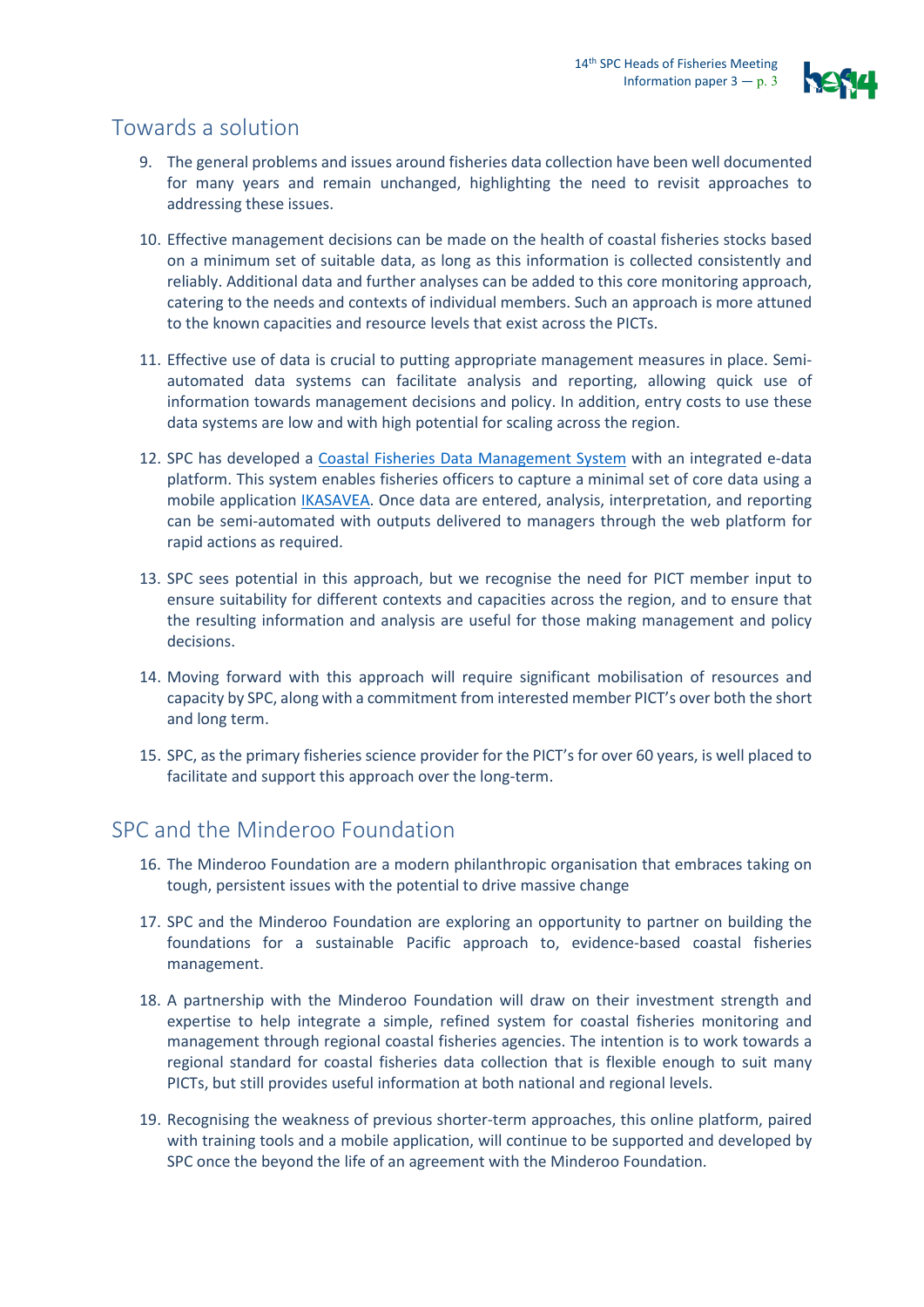

## Towards a solution

- 9. The general problems and issues around fisheries data collection have been well documented for many years and remain unchanged, highlighting the need to revisit approaches to addressing these issues.
- 10. Effective management decisions can be made on the health of coastal fisheries stocks based on a minimum set of suitable data, as long as this information is collected consistently and reliably. Additional data and further analyses can be added to this core monitoring approach, catering to the needs and contexts of individual members. Such an approach is more attuned to the known capacities and resource levels that exist across the PICTs.
- 11. Effective use of data is crucial to putting appropriate management measures in place. Semiautomated data systems can facilitate analysis and reporting, allowing quick use of information towards management decisions and policy. In addition, entry costs to use these data systems are low and with high potential for scaling across the region.
- 12. SPC has developed a [Coastal Fisheries Data Management S](https://www.spc.int/CoastalFisheries)ystem with an integrated e-data platform. This system enables fisheries officers to capture a minimal set of core data using a mobile application [IKASAVEA.](https://play.google.com/store/apps/details?id=spc.ikasavea&hl=en_AU&gl=US) Once data are entered, analysis, interpretation, and reporting can be semi-automated with outputs delivered to managers through the web platform for rapid actions as required.
- 13. SPC sees potential in this approach, but we recognise the need for PICT member input to ensure suitability for different contexts and capacities across the region, and to ensure that the resulting information and analysis are useful for those making management and policy decisions.
- 14. Moving forward with this approach will require significant mobilisation of resources and capacity by SPC, along with a commitment from interested member PICT's over both the short and long term.
- 15. SPC, as the primary fisheries science provider for the PICT's for over 60 years, is well placed to facilitate and support this approach over the long-term.

#### SPC and the Minderoo Foundation

- 16. The Minderoo Foundation are a modern philanthropic organisation that embraces taking on tough, persistent issues with the potential to drive massive change
- 17. SPC and the Minderoo Foundation are exploring an opportunity to partner on building the foundations for a sustainable Pacific approach to, evidence-based coastal fisheries management.
- 18. A partnership with the Minderoo Foundation will draw on their investment strength and expertise to help integrate a simple, refined system for coastal fisheries monitoring and management through regional coastal fisheries agencies. The intention is to work towards a regional standard for coastal fisheries data collection that is flexible enough to suit many PICTs, but still provides useful information at both national and regional levels.
- 19. Recognising the weakness of previous shorter-term approaches, this online platform, paired with training tools and a mobile application, will continue to be supported and developed by SPC once the beyond the life of an agreement with the Minderoo Foundation.